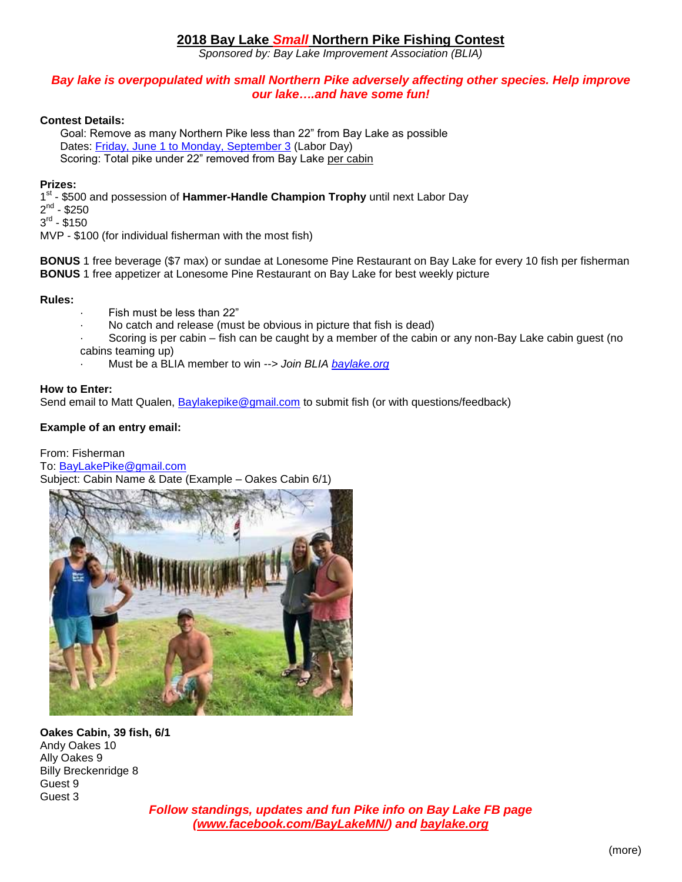# **2018 Bay Lake** *Small* **Northern Pike Fishing Contest**

*Sponsored by: Bay Lake Improvement Association (BLIA)*

## *Bay lake is overpopulated with small Northern Pike adversely affecting other species. Help improve our lake….and have some fun!*

## **Contest Details:**

Goal: Remove as many Northern Pike less than 22" from Bay Lake as possible Dates: [Friday, June 1 to Monday, September 3](about:blank) (Labor Day) Scoring: Total pike under 22" removed from Bay Lake per cabin

### **Prizes:**

1<sup>st</sup> - \$500 and possession of Hammer-Handle Champion Trophy until next Labor Day  $2^{nd}$  - \$250  $3^{\text{rd}}$  -  $$150$ MVP - \$100 (for individual fisherman with the most fish)

**BONUS** 1 free beverage (\$7 max) or sundae at Lonesome Pine Restaurant on Bay Lake for every 10 fish per fisherman **BONUS** 1 free appetizer at Lonesome Pine Restaurant on Bay Lake for best weekly picture

**Rules:**

- · Fish must be less than 22"
- No catch and release (must be obvious in picture that fish is dead)
- Scoring is per cabin fish can be caught by a member of the cabin or any non-Bay Lake cabin guest (no cabins teaming up)
- · Must be a BLIA member to win *--> Join BLIA [baylake.org](http://baylake.org/)*

#### **How to Enter:**

Send email to Matt Qualen, [Baylakepike@gmail.com](mailto:Baylakepike@gmail.com) to submit fish (or with questions/feedback)

## **Example of an entry email:**

From: Fisherman To: [BayLakePike@gmail.com](mailto:BayLakePike@gmail.com) Subject: Cabin Name & Date (Example – Oakes Cabin 6/1)



**Oakes Cabin, 39 fish, 6/1** Andy Oakes 10 Ally Oakes 9 Billy Breckenridge 8 Guest 9 Guest 3

*Follow standings, updates and fun Pike info on Bay Lake FB page [\(www.facebook.com/BayLakeMN/\)](https://www.facebook.com/BayLakeMN/) and [baylake.org](http://baylake.org/)*